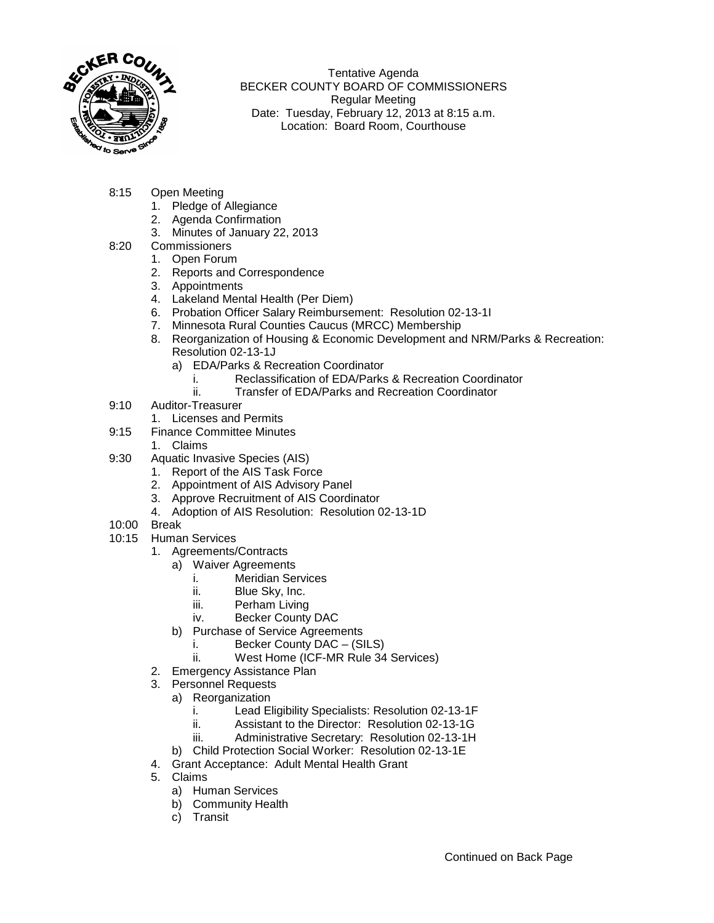

Tentative Agenda BECKER COUNTY BOARD OF COMMISSIONERS Regular Meeting Date: Tuesday, February 12, 2013 at 8:15 a.m. Location: Board Room, Courthouse

- 8:15 Open Meeting
	- 1. Pledge of Allegiance
	- 2. Agenda Confirmation
	- 3. Minutes of January 22, 2013
- 8:20 Commissioners
	- 1. Open Forum
	- 2. Reports and Correspondence
	- 3. Appointments
	- 4. Lakeland Mental Health (Per Diem)
	- 6. Probation Officer Salary Reimbursement: Resolution 02-13-1I
	- 7. Minnesota Rural Counties Caucus (MRCC) Membership
	- 8. Reorganization of Housing & Economic Development and NRM/Parks & Recreation: Resolution 02-13-1J
		- a) EDA/Parks & Recreation Coordinator
			- i. Reclassification of EDA/Parks & Recreation Coordinator<br>ii. Transfer of EDA/Parks and Recreation Coordinator
				- Transfer of EDA/Parks and Recreation Coordinator
- 9:10 Auditor-Treasurer
	- 1. Licenses and Permits
- 9:15 Finance Committee Minutes
	- 1. Claims
- 9:30 Aquatic Invasive Species (AIS)
	- 1. Report of the AIS Task Force
	- 2. Appointment of AIS Advisory Panel
	- 3. Approve Recruitment of AIS Coordinator
	- 4. Adoption of AIS Resolution: Resolution 02-13-1D
- 10:00 Break
- 10:15 Human Services
	- 1. Agreements/Contracts
		- a) Waiver Agreements
			- i. Meridian Services<br>ii. Blue Skv. Inc.
			-
			- ii. Blue Sky, Inc.<br>iii. Perham Living Perham Living
			- iv. Becker County DAC
		- b) Purchase of Service Agreements
			- i. Becker County DAC (SILS)
			- ii. West Home (ICF-MR Rule 34 Services)
	- 2. Emergency Assistance Plan
	- 3. Personnel Requests
		- a) Reorganization
			- i. Lead Eligibility Specialists: Resolution 02-13-1F<br>ii. Assistant to the Director: Resolution 02-13-1G
				- Assistant to the Director: Resolution 02-13-1G
			- iii. Administrative Secretary: Resolution 02-13-1H
		- b) Child Protection Social Worker: Resolution 02-13-1E
	- 4. Grant Acceptance: Adult Mental Health Grant
	- 5. Claims
		- a) Human Services
		- b) Community Health
		- c) Transit